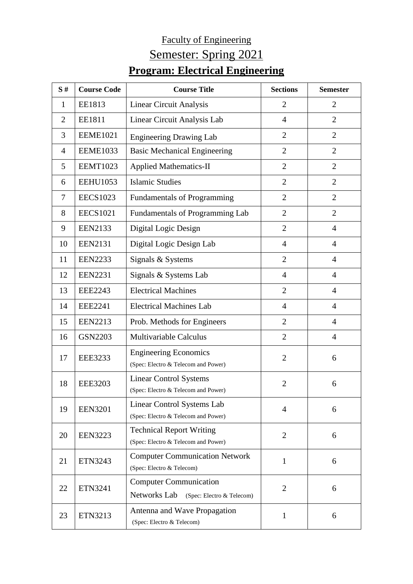## Faculty of Engineering Semester: Spring 2021 **Program: Electrical Engineering**

| S#             | <b>Course Code</b> | <b>Course Title</b>                                                        | <b>Sections</b> | <b>Semester</b> |
|----------------|--------------------|----------------------------------------------------------------------------|-----------------|-----------------|
| 1              | EE1813             | <b>Linear Circuit Analysis</b>                                             | $\overline{2}$  | $\overline{2}$  |
| $\overline{2}$ | EE1811             | Linear Circuit Analysis Lab                                                | $\overline{4}$  | $\overline{2}$  |
| 3              | <b>EEME1021</b>    | <b>Engineering Drawing Lab</b>                                             | $\overline{2}$  | $\overline{2}$  |
| $\overline{4}$ | <b>EEME1033</b>    | <b>Basic Mechanical Engineering</b>                                        | $\overline{2}$  | $\overline{2}$  |
| 5              | <b>EEMT1023</b>    | <b>Applied Mathematics-II</b>                                              | $\overline{2}$  | $\overline{2}$  |
| 6              | <b>EEHU1053</b>    | <b>Islamic Studies</b>                                                     | $\overline{2}$  | $\overline{2}$  |
| 7              | <b>EECS1023</b>    | <b>Fundamentals of Programming</b>                                         | $\overline{2}$  | $\overline{2}$  |
| 8              | <b>EECS1021</b>    | Fundamentals of Programming Lab                                            | $\overline{2}$  | $\overline{2}$  |
| 9              | <b>EEN2133</b>     | Digital Logic Design                                                       | $\overline{2}$  | $\overline{4}$  |
| 10             | <b>EEN2131</b>     | Digital Logic Design Lab                                                   | $\overline{4}$  | $\overline{4}$  |
| 11             | <b>EEN2233</b>     | Signals & Systems                                                          | $\overline{2}$  | $\overline{4}$  |
| 12             | <b>EEN2231</b>     | Signals & Systems Lab                                                      | $\overline{4}$  | $\overline{4}$  |
| 13             | <b>EEE2243</b>     | <b>Electrical Machines</b>                                                 | $\overline{2}$  | $\overline{4}$  |
| 14             | <b>EEE2241</b>     | <b>Electrical Machines Lab</b>                                             | $\overline{4}$  | $\overline{4}$  |
| 15             | <b>EEN2213</b>     | Prob. Methods for Engineers                                                | $\overline{2}$  | $\overline{4}$  |
| 16             | <b>GSN2203</b>     | <b>Multivariable Calculus</b>                                              | $\overline{2}$  | 4               |
| 17             | <b>EEE3233</b>     | <b>Engineering Economics</b><br>(Spec: Electro & Telecom and Power)        | $\overline{2}$  | 6               |
| 18             | <b>EEE3203</b>     | <b>Linear Control Systems</b><br>(Spec: Electro & Telecom and Power)       | $\overline{2}$  | 6               |
| 19             | <b>EEN3201</b>     | Linear Control Systems Lab<br>(Spec: Electro & Telecom and Power)          | $\overline{4}$  | 6               |
| 20             | <b>EEN3223</b>     | <b>Technical Report Writing</b><br>(Spec: Electro & Telecom and Power)     | $\mathfrak{2}$  | 6               |
| 21             | ETN3243            | <b>Computer Communication Network</b><br>(Spec: Electro & Telecom)         | $\mathbf{1}$    | 6               |
| 22             | ETN3241            | <b>Computer Communication</b><br>Networks Lab<br>(Spec: Electro & Telecom) | $\overline{2}$  | 6               |
| 23             | ETN3213            | Antenna and Wave Propagation<br>(Spec: Electro & Telecom)                  | 1               | 6               |